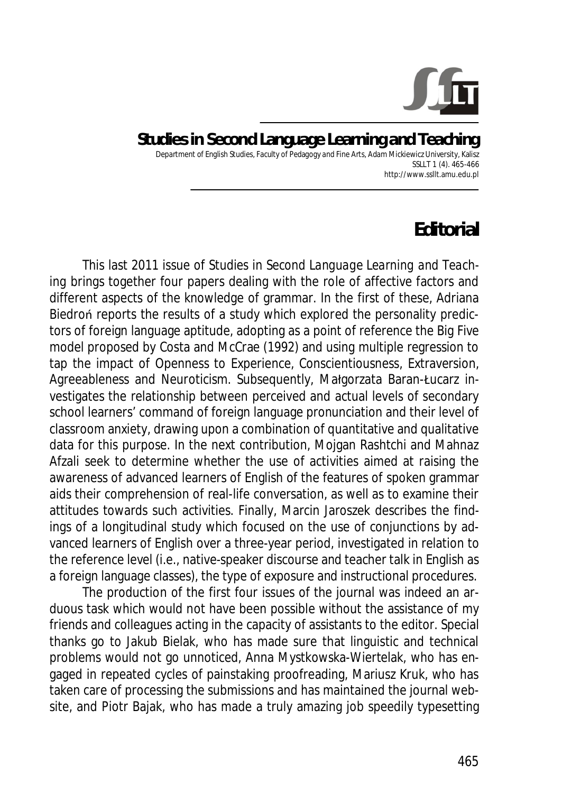

## **Studies in Second Language Learning and Teaching**  Department of English Studies, Faculty of Pedagogy and Fine Arts, Adam Mickiewicz University, Kalisz SSLLT 1 (4). 465-466 http://www.ssllt.amu.edu.pl

## **Editorial**

This last 2011 issue of *Studies in Second Language Learning and Teaching* brings together four papers dealing with the role of affective factors and different aspects of the knowledge of grammar. In the first of these, Adriana Biedron reports the results of a study which explored the personality predictors of foreign language aptitude, adopting as a point of reference the Big Five model proposed by Costa and McCrae (1992) and using multiple regression to tap the impact of Openness to Experience, Conscientiousness, Extraversion, Agreeableness and Neuroticism. Subsequently, Małgorzata Baran-Łucarz investigates the relationship between perceived and actual levels of secondary school learners' command of foreign language pronunciation and their level of classroom anxiety, drawing upon a combination of quantitative and qualitative data for this purpose. In the next contribution, Mojgan Rashtchi and Mahnaz Afzali seek to determine whether the use of activities aimed at raising the awareness of advanced learners of English of the features of spoken grammar aids their comprehension of real-life conversation, as well as to examine their attitudes towards such activities. Finally, Marcin Jaroszek describes the findings of a longitudinal study which focused on the use of conjunctions by advanced learners of English over a three-year period, investigated in relation to the reference level (i.e., native-speaker discourse and teacher talk in English as a foreign language classes), the type of exposure and instructional procedures.

The production of the first four issues of the journal was indeed an arduous task which would not have been possible without the assistance of my friends and colleagues acting in the capacity of assistants to the editor. Special thanks go to Jakub Bielak, who has made sure that linguistic and technical problems would not go unnoticed, Anna Mystkowska-Wiertelak, who has engaged in repeated cycles of painstaking proofreading, Mariusz Kruk, who has taken care of processing the submissions and has maintained the journal website, and Piotr Bajak, who has made a truly amazing job speedily typesetting